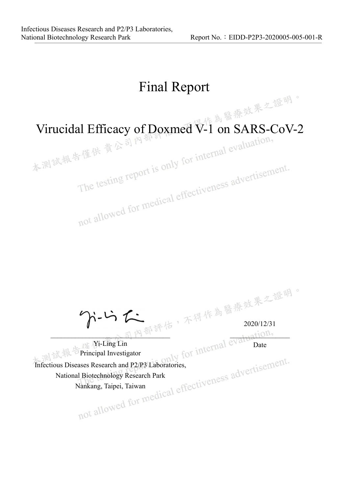# Final Report

Virucidal Efficacy of Doxmed  $\widetilde{V}$ -1 on SARS-CoV-2<br>本測設最告僅供 貴公司內部 for internal evaluation,

The testing report is only for incomended and allowed for medical effectiveness advertisement.

 $\gamma$ -Li

 $-\sim$   $\frac{1}{2}$  M  $\frac{1}{2}$  $1.1211011$ 

2020/12/31

Date

Yi-Ling Lin Principal Investigator Principal Investigator<br>Infectious Diseases Research and P2/P3 Laboratories, National Biotechnology Research Park Nankang, Taipei, Taiwan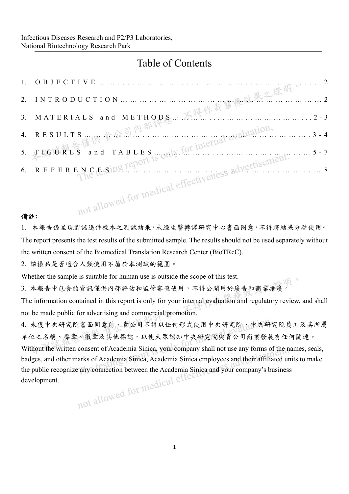# Table of Contents

#### 備註**:**

1. 本報告係呈現對該送件樣本之測試結果,未經生醫轉譯研究中心書面同意,不得將結果分離使用。 The report presents the test results of the submitted sample. The results should not be used separately without the written consent of the Biomedical Translation Research Center (BioTReC).

2. 該樣品是否適合人類使用不屬於本測試的範圍。

Whether the sample is suitable for human use is outside the scope of this test.

水明 3. 本報告中包含的資訊僅供內部評估和監管審查使用,不得公開用於廣告和商業推廣。

The information contained in this report is only for your internal evaluation and regulatory review, and shall not be made public for advertising and commercial promotion.

4. 未獲中央研究院書面同意前,貴公司不得以任何形式使用中央研究院、中央研究院員工及其所屬 單位之名稱、標章、徽章及其他標誌,以使大眾認知中央研究院與貴公司商業發展有任何關連。 Without the written consent of Academia Sinica, your company shall not use any forms of the names, seals, badges, and other marks of Academia Sinica, Academia Sinica employees and their affiliated units to make the public recognize any connection between the Academia Sinica and your company's business<br>development. development.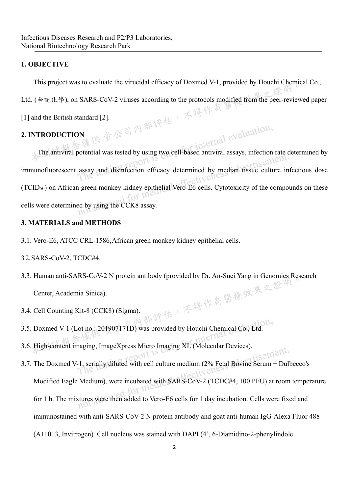## **1. OBJECTIVE**

This project was to evaluate the virucidal efficacy of Doxmed V-1, provided by Houchi Chemical Co.,

Ltd. (合記化學), on SARS-CoV-2 viruses according to the protocols modified from the peer-reviewed paper<br>
[1] and the British standard [2].<br>
2. INTRODUCTION

[1] and the British standard [2].

# **2. INTRODUCTION**

The antiviral potential was tested by using two cell-based antiviral assays, infection rate determined by immunofluorescent assay and disinfection efficacy determined by median tissue culture infectious dose (TCID50) on African green monkey kidney epithelial Vero-E6 cells. Cytotoxicity of the compounds on these cells were determined by using the CCK8 assay.

# **3. MATERIALS and METHODS**

3.1. Vero-E6, ATCC CRL-1586, African green monkey kidney epithelial cells.

#### 3.2. SARS-CoV-2, TCDC#4.

- 3.3. Human anti-SARS-CoV-2 N protein antibody (provided by Dr. An-Suei Yang in Genomics Research<br>Center, Academia Sinica).<br>3.4. Cell Counting Kit-8 (CCK8) (Sigma). Center, Academia Sinica).
- 3.4. Cell Counting Kit-8 (CCK8) (Sigma).
- 3.5. Doxmed V-1 (Lot no.: 201907171D) was provided by Houchi Chemical Co., Ltd.
- 3.6. High-content imaging, ImageXpress Micro Imaging XL (Molecular Devices).
- isement. 3.7. The Doxmed V-1, serially diluted with cell culture medium (2% Fetal Bovine Serum + Dulbecco's Modified Eagle Medium), were incubated with SARS-CoV-2 (TCDC#4, 100 PFU) at room temperature for 1 h. The mixtures were then added to Vero-E6 cells for 1 day incubation. Cells were fixed and immunostained with anti-SARS-CoV-2 N protein antibody and goat anti-human IgG-Alexa Fluor 488 (A11013, Invitrogen). Cell nucleus was stained with DAPI (4', 6-Diamidino-2-phenylindole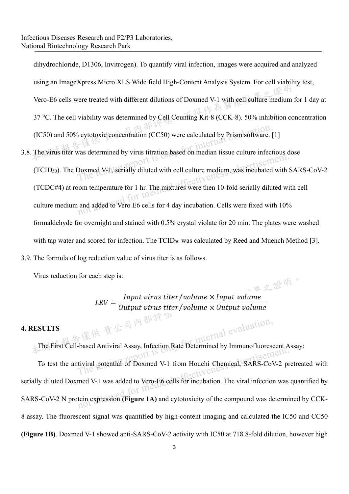dihydrochloride, D1306, Invitrogen). To quantify viral infection, images were acquired and analyzed using an ImageXpress Micro XLS Wide field High-Content Analysis System. For cell viability test, Vero-E6 cells were treated with different dilutions of Doxmed V-1 with cell culture medium for 1 day at 37 °C. The cell viability was determined by Cell Counting Kit-8 (CCK-8). 50% inhibition concentration (IC50) and 50% cytotoxic concentration (CC50) were calculated by Prism software. [1] 3.8. The virus titer was determined by virus titration based on median tissue culture infectious dose (TCID50). The Doxmed V-1, serially diluted with cell culture medium, was incubated with SARS-CoV-2 (TCDC#4) at room temperature for 1 hr. The mixtures were then 10-fold serially diluted with cell culture medium and added to Vero E6 cells for 4 day incubation. Cells were fixed with 10% formaldehyde for overnight and stained with 0.5% crystal violate for 20 min. The plates were washed with tap water and scored for infection. The TCID<sub>50</sub> was calculated by Reed and Muench Method [3]. 3.9. The formula of log reduction value of virus titer is as follows.

Virus reduction for each step is:

里之證明。  $LRV = \frac{Input \, virus \, titer/volume \times Input \, volume}{Output \, virus \, titer/volume \times Output \, volume}$ 

#### **4. RESULTS**

The First Cell-based Antiviral Assay, Infection Rate Determined by Immunofluorescent Assay:

To test the antiviral potential of Doxmed V-1 from Houchi Chemical, SARS-CoV-2 pretreated with serially diluted Doxmed V-1 was added to Vero-E6 cells for incubation. The viral infection was quantified by SARS-CoV-2 N protein expression **(Figure 1A)** and cytotoxicity of the compound was determined by CCK-8 assay. The fluorescent signal was quantified by high-content imaging and calculated the IC50 and CC50 **(Figure 1B)**. Doxmed V-1 showed anti-SARS-CoV-2 activity with IC50 at 718.8-fold dilution, however high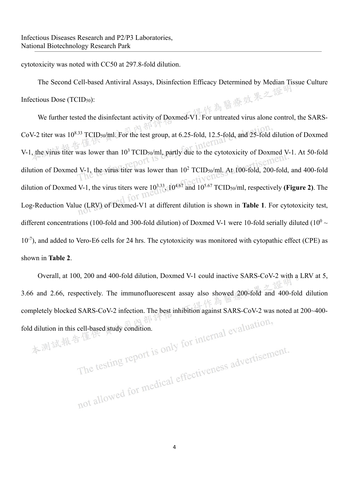cytotoxicity was noted with CC50 at 297.8-fold dilution.

The Second Cell-based Antiviral Assays, Disinfection Efficacy Determined by Median Tissue Culture<br>ious Dose (TCID<sub>50</sub>):<br>We feed Infectious Dose (TCID50):

We further tested the disinfectant activity of Doxmed-V1. For untreated virus alone control, the SARS-CoV-2 titer was 108.33 TCID50/ml. For the test group, at 6.25-fold, 12.5-fold, and 25-fold dilution of Doxmed V-1, the virus titer was lower than  $10^3$  TCID<sub>50</sub>/ml, partly due to the cytotoxicity of Doxmed V-1. At 50-fold dilution of Doxmed V-1, the virus titer was lower than  $10^2$  TCID<sub>50</sub>/ml. At 100-fold, 200-fold, and 400-fold dilution of Doxmed V-1, the virus titers were 103.33, 104.67 and 105.67 TCID50/ml, respectively **(Figure 2)**. The Log-Reduction Value (LRV) of Dexmed-V1 at different dilution is shown in **Table 1**. For cytotoxicity test, different concentrations (100-fold and 300-fold dilution) of Doxmed V-1 were 10-fold serially diluted (10<sup>0</sup>  $\sim$  $10^{-7}$ ), and added to Vero-E6 cells for 24 hrs. The cytotoxicity was monitored with cytopathic effect (CPE) as shown in **Table 2**.

Overall, at 100, 200 and 400-fold dilution, Doxmed V-1 could inactive SARS-CoV-2 with a LRV at 5, 3.66 and 2.66, respectively. The immunofluorescent assay also showed 200-fold and 400-fold dilution completely blocked SARS-CoV-2 infection. The best inhibition against SARS-CoV-2 was noted at 200~400-<br>fold dilution in this cell-based study condition.<br> $\frac{1}{2}$  and  $\frac{1}{2}$  for the testing report is only for internal ev fold dilution in this cell-based study condition.

4

The testing report is only for much the statement.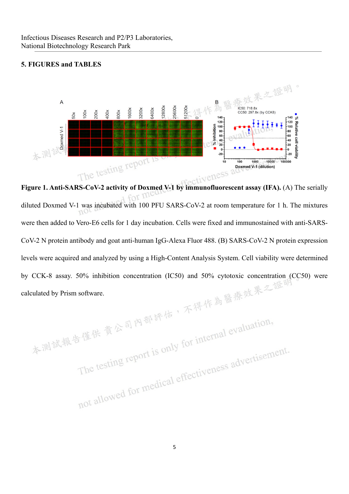#### **5. FIGURES and TABLES**



**Figure 1. Anti-SARS-CoV-2 activity of Doxmed V-1 by immunofluorescent assay (IFA). (A) The serially** for m diluted Doxmed V-1 was incubated with 100 PFU SARS-CoV-2 at room temperature for 1 h. The mixtures  $1101$ were then added to Vero-E6 cells for 1 day incubation. Cells were fixed and immunostained with anti-SARS-CoV-2 N protein antibody and goat anti-human IgG-Alexa Fluor 488. (B) SARS-CoV-2 N protein expression levels were acquired and analyzed by using a High-Content Analysis System. Cell viability were determined by CCK-8 assay. 50% inhibition concentration (IC50) and 50% cytotoxic concentration (CC50) were

calculated by Prism software.<br>本測試報告僅供責公司內部評估,不得作為醫療效果之證 古僅供貴公司內部評估, A.I.<br>The testing report is only for internal evaluation, The testing report is only for incomended and allowed for medical effectiveness advertisement.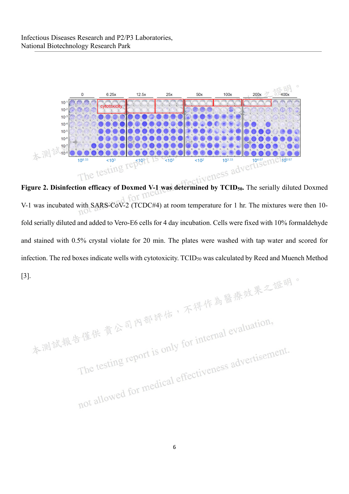

foi V-1 was incubated with SARS-CoV-2 (TCDC#4) at room temperature for 1 hr. The mixtures were then 10 fold serially diluted and added to Vero-E6 cells for 4 day incubation. Cells were fixed with 10% formaldehyde and stained with 0.5% crystal violate for 20 min. The plates were washed with tap water and scored for infection. The red boxes indicate wells with cytotoxicity. TCID<sub>50</sub> was calculated by Reed and Muench Method

[3].<br>本測試報告僅供責公司內部評估,不得作為醫療效果之證明。 古僅供 貴公司內部評估, A-1:<br>The testing report is only for internal evaluation, The testing report is only for inter-<br>The testing report is only for inter-<br>not allowed for medical effectiveness advertisement.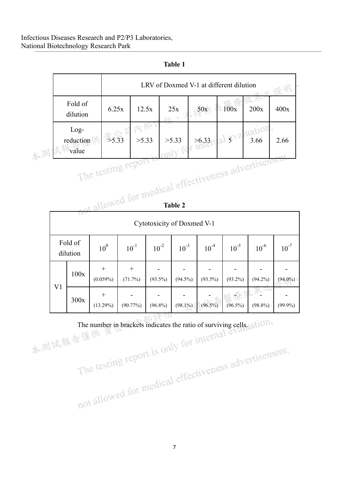# Infectious Diseases Research and P2/P3 Laboratories, National Biotechnology Research Park

|                                                                                   |                                  |                       | LRV of Doxmed V-1 at different dilution<br>證明 |              |            |                          |            |            |            |  |  |
|-----------------------------------------------------------------------------------|----------------------------------|-----------------------|-----------------------------------------------|--------------|------------|--------------------------|------------|------------|------------|--|--|
|                                                                                   | Fold of<br>dilution              |                       | 6.25x                                         | 12.5x        | 25x        | 50x                      | 100x       | 200x       | 400x       |  |  |
|                                                                                   | $Log-$<br>reduction<br>本測試報value | >5.33                 |                                               | 內部言<br>>5.33 |            | J.33 56.33 al svaluation |            |            | 2.66       |  |  |
|                                                                                   |                                  |                       |                                               |              |            |                          |            |            |            |  |  |
| not allowed for medical effectiveness advertisement<br>Cytotoxicity of Doxmed V-1 |                                  |                       |                                               |              |            |                          |            |            |            |  |  |
|                                                                                   | Fold of<br>dilution              | 10 <sup>0</sup>       | $10^{-1}$                                     | $10^{-2}$    | $10^{-3}$  | $10^{4}$                 | $10^{-5}$  | $10^{-6}$  | $10^{-7}$  |  |  |
|                                                                                   | 100x                             | $^{+}$<br>$(0.059\%)$ | $^{+}$<br>(71.7%)                             | $(93.5\%)$   | $(94.5\%)$ | $(93.5\%)$               | $(93.2\%)$ | $(94.2\%)$ | $(94.0\%)$ |  |  |
| V <sub>1</sub>                                                                    | 300x                             | $^{+}$<br>$(13.29\%)$ | (90.77%)                                      | $(96.8\%)$   | $(98.1\%)$ | $(96.5\%)$               | $(96.5\%)$ | $(98.8\%)$ | $(99.9\%)$ |  |  |

| ш<br>u<br> |  |
|------------|--|
|            |  |

The number in brackets indicates the ratio of surviving cells.

The testing report is only for intermedical effectiveness advertisement.